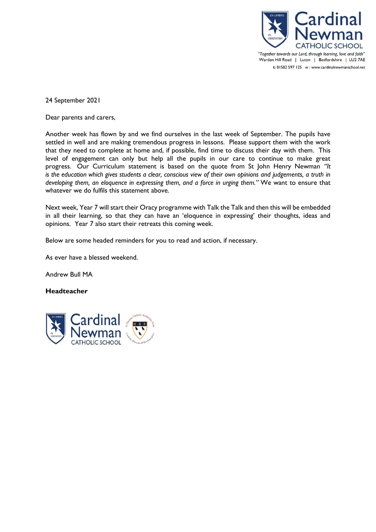

24 September 2021

Dear parents and carers,

Another week has flown by and we find ourselves in the last week of September. The pupils have settled in well and are making tremendous progress in lessons. Please support them with the work that they need to complete at home and, if possible, find time to discuss their day with them. This level of engagement can only but help all the pupils in our care to continue to make great progress. Our Curriculum statement is based on the quote from St John Henry Newman *"It is the education which gives students a clear, conscious view of their own opinions and judgements, a truth in developing them, an eloquence in expressing them, and a force in urging them."* We want to ensure that whatever we do fulfils this statement above.

Next week, Year 7 will start their Oracy programme with Talk the Talk and then this will be embedded in all their learning, so that they can have an 'eloquence in expressing' their thoughts, ideas and opinions. Year 7 also start their retreats this coming week.

Below are some headed reminders for you to read and action, if necessary.

As ever have a blessed weekend.

Andrew Bull MA

# **Headteacher**

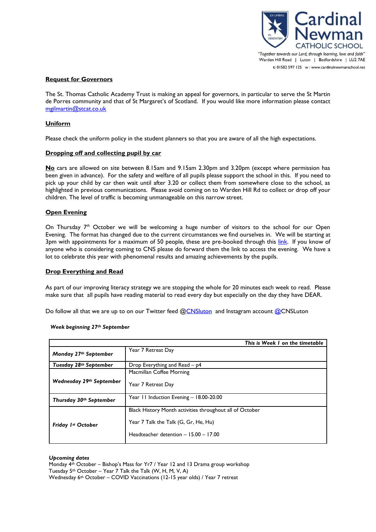

## **Request for Governors**

The St. Thomas Catholic Academy Trust is making an appeal for governors, in particular to serve the St Martin de Porres community and that of St Margaret's of Scotland. If you would like more information please contact [mgilmartin@stcat.co.uk](mailto:mgilmartin@stcat.co.uk)

## **Uniform**

Please check the uniform policy in the student planners so that you are aware of all the high expectations.

#### **Dropping off and collecting pupil by car**

**No** cars are allowed on site between 8.15am and 9.15am 2.30pm and 3.20pm (except where permission has been given in advance). For the safety and welfare of all pupils please support the school in this. If you need to pick up your child by car then wait until after 3.20 or collect them from somewhere close to the school, as highlighted in previous communications. Please avoid coming on to Warden Hill Rd to collect or drop off your children. The level of traffic is becoming unmanageable on this narrow street.

#### **Open Evening**

On Thursday  $7<sup>th</sup>$  October we will be welcoming a huge number of visitors to the school for our Open Evening. The format has changed due to the current circumstances we find ourselves in. We will be starting at 3pm with appointments for a maximum of 50 people, these are pre-booked through this [link.](https://www.eventbrite.co.uk/e/year-6-open-evening-7th-october-2021-tickets-176118584427) If you know of anyone who is considering coming to CNS please do forward them the link to access the evening. We have a lot to celebrate this year with phenomenal results and amazing achievements by the pupils.

#### **Drop Everything and Read**

As part of our improving literacy strategy we are stopping the whole for 20 minutes each week to read. Please make sure that all pupils have reading material to read every day but especially on the day they have DEAR.

Do follow all that we are up to on our Twitter feed [@CNSluton](https://twitter.com/CNSLuton) and Instagram account [@CNSLuton](http://www.instagram.com/cnsluton)

#### *Week beginning 27th September*

|                          | This is Week I on the timetable                          |
|--------------------------|----------------------------------------------------------|
| Monday 27th September    | Year 7 Retreat Day                                       |
| Tuesday 28th September   | Drop Everything and Read – p4                            |
|                          | Macmillan Coffee Morning                                 |
| Wednesday 29th September | Year 7 Retreat Day                                       |
| Thursday 30th September  | Year 11 Induction Evening - 18.00-20.00                  |
|                          | Black History Month activities throughout all of October |
| Friday 1st October       | Year 7 Talk the Talk (G, Gr, He, Hu)                     |
|                          | Headteacher detention $-15.00 - 17.00$                   |
|                          |                                                          |

#### *Upcoming dates*

Monday 4th October – Bishop's Mass for Yr7 / Year 12 and 13 Drama group workshop Tuesday  $5<sup>th</sup> October – Year 7 Talk the Talk (W, H, M, V, A)$ Wednesday 6th October – COVID Vaccinations (12-15 year olds) / Year 7 retreat